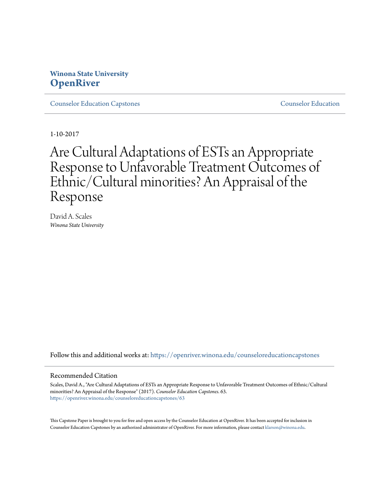## **Winona State University [OpenRiver](https://openriver.winona.edu?utm_source=openriver.winona.edu%2Fcounseloreducationcapstones%2F63&utm_medium=PDF&utm_campaign=PDFCoverPages)**

**[Counselor Education Capstones](https://openriver.winona.edu/counseloreducationcapstones?utm_source=openriver.winona.edu%2Fcounseloreducationcapstones%2F63&utm_medium=PDF&utm_campaign=PDFCoverPages)** [Counselor Education](https://openriver.winona.edu/counseloreducation?utm_source=openriver.winona.edu%2Fcounseloreducationcapstones%2F63&utm_medium=PDF&utm_campaign=PDFCoverPages)

1-10-2017

# Are Cultural Adaptations of ESTs an Appropriate Response to Unfavorable Treatment Outcomes of Ethnic/Cultural minorities? An Appraisal of the Response

David A. Scales *Winona State University*

Follow this and additional works at: [https://openriver.winona.edu/counseloreducationcapstones](https://openriver.winona.edu/counseloreducationcapstones?utm_source=openriver.winona.edu%2Fcounseloreducationcapstones%2F63&utm_medium=PDF&utm_campaign=PDFCoverPages)

## Recommended Citation

Scales, David A., "Are Cultural Adaptations of ESTs an Appropriate Response to Unfavorable Treatment Outcomes of Ethnic/Cultural minorities? An Appraisal of the Response" (2017). *Counselor Education Capstones*. 63. [https://openriver.winona.edu/counseloreducationcapstones/63](https://openriver.winona.edu/counseloreducationcapstones/63?utm_source=openriver.winona.edu%2Fcounseloreducationcapstones%2F63&utm_medium=PDF&utm_campaign=PDFCoverPages)

This Capstone Paper is brought to you for free and open access by the Counselor Education at OpenRiver. It has been accepted for inclusion in Counselor Education Capstones by an authorized administrator of OpenRiver. For more information, please contact [klarson@winona.edu](mailto:klarson@winona.edu).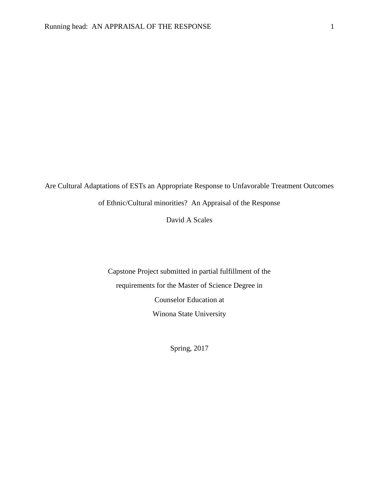Are Cultural Adaptations of ESTs an Appropriate Response to Unfavorable Treatment Outcomes of Ethnic/Cultural minorities? An Appraisal of the Response

David A Scales

Capstone Project submitted in partial fulfillment of the requirements for the Master of Science Degree in Counselor Education at Winona State University

Spring, 2017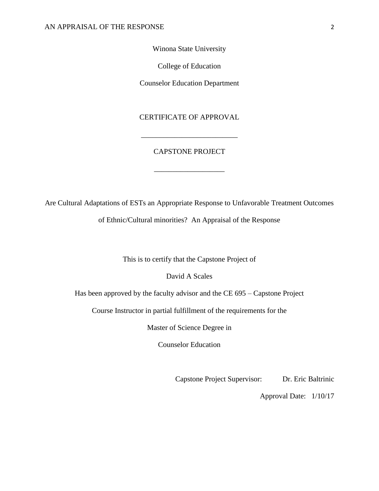## Winona State University

College of Education

Counselor Education Department

## CERTIFICATE OF APPROVAL

## CAPSTONE PROJECT

\_\_\_\_\_\_\_\_\_\_\_\_\_\_\_\_\_\_\_

\_\_\_\_\_\_\_\_\_\_\_\_\_\_\_\_\_\_\_\_\_\_\_\_\_\_

Are Cultural Adaptations of ESTs an Appropriate Response to Unfavorable Treatment Outcomes

of Ethnic/Cultural minorities? An Appraisal of the Response

This is to certify that the Capstone Project of

David A Scales

Has been approved by the faculty advisor and the CE 695 – Capstone Project

Course Instructor in partial fulfillment of the requirements for the

Master of Science Degree in

Counselor Education

Capstone Project Supervisor: Dr. Eric Baltrinic

Approval Date: 1/10/17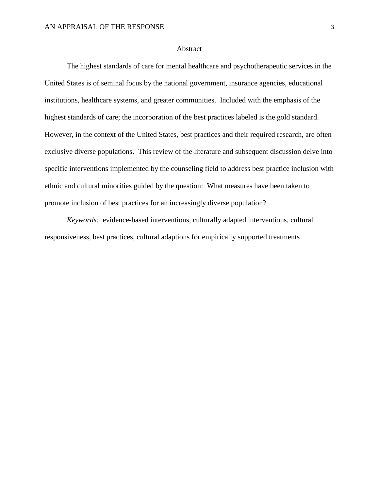## Abstract

The highest standards of care for mental healthcare and psychotherapeutic services in the United States is of seminal focus by the national government, insurance agencies, educational institutions, healthcare systems, and greater communities. Included with the emphasis of the highest standards of care; the incorporation of the best practices labeled is the gold standard. However, in the context of the United States, best practices and their required research, are often exclusive diverse populations. This review of the literature and subsequent discussion delve into specific interventions implemented by the counseling field to address best practice inclusion with ethnic and cultural minorities guided by the question: What measures have been taken to promote inclusion of best practices for an increasingly diverse population?

*Keywords:* evidence-based interventions, culturally adapted interventions, cultural responsiveness, best practices, cultural adaptions for empirically supported treatments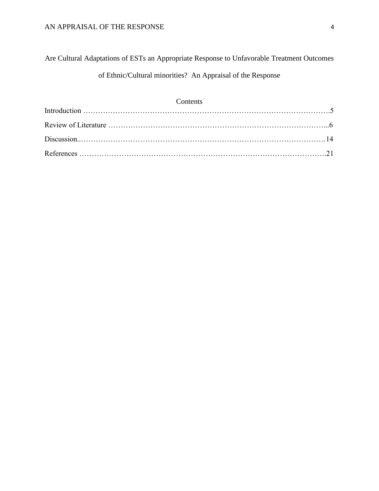Are Cultural Adaptations of ESTs an Appropriate Response to Unfavorable Treatment Outcomes of Ethnic/Cultural minorities? An Appraisal of the Response

| Contents |  |
|----------|--|
|          |  |
|          |  |
|          |  |
|          |  |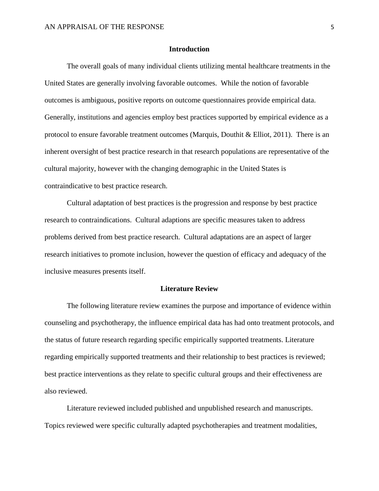## **Introduction**

The overall goals of many individual clients utilizing mental healthcare treatments in the United States are generally involving favorable outcomes. While the notion of favorable outcomes is ambiguous, positive reports on outcome questionnaires provide empirical data. Generally, institutions and agencies employ best practices supported by empirical evidence as a protocol to ensure favorable treatment outcomes (Marquis, Douthit & Elliot, 2011). There is an inherent oversight of best practice research in that research populations are representative of the cultural majority, however with the changing demographic in the United States is contraindicative to best practice research.

Cultural adaptation of best practices is the progression and response by best practice research to contraindications. Cultural adaptions are specific measures taken to address problems derived from best practice research. Cultural adaptations are an aspect of larger research initiatives to promote inclusion, however the question of efficacy and adequacy of the inclusive measures presents itself.

#### **Literature Review**

The following literature review examines the purpose and importance of evidence within counseling and psychotherapy, the influence empirical data has had onto treatment protocols, and the status of future research regarding specific empirically supported treatments. Literature regarding empirically supported treatments and their relationship to best practices is reviewed; best practice interventions as they relate to specific cultural groups and their effectiveness are also reviewed.

Literature reviewed included published and unpublished research and manuscripts. Topics reviewed were specific culturally adapted psychotherapies and treatment modalities,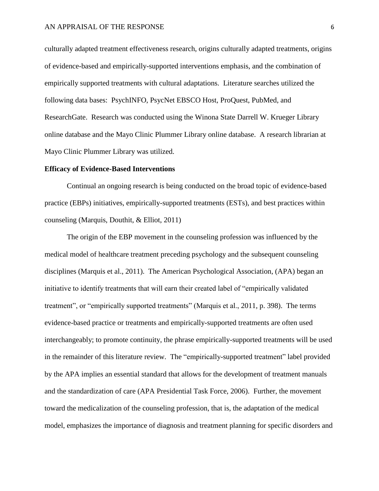culturally adapted treatment effectiveness research, origins culturally adapted treatments, origins of evidence-based and empirically-supported interventions emphasis, and the combination of empirically supported treatments with cultural adaptations. Literature searches utilized the following data bases: PsychINFO, PsycNet EBSCO Host, ProQuest, PubMed, and ResearchGate. Research was conducted using the Winona State Darrell W. Krueger Library online database and the Mayo Clinic Plummer Library online database. A research librarian at Mayo Clinic Plummer Library was utilized.

## **Efficacy of Evidence-Based Interventions**

Continual an ongoing research is being conducted on the broad topic of evidence-based practice (EBPs) initiatives, empirically-supported treatments (ESTs), and best practices within counseling (Marquis, Douthit, & Elliot, 2011)

The origin of the EBP movement in the counseling profession was influenced by the medical model of healthcare treatment preceding psychology and the subsequent counseling disciplines (Marquis et al., 2011). The American Psychological Association, (APA) began an initiative to identify treatments that will earn their created label of "empirically validated treatment", or "empirically supported treatments" (Marquis et al., 2011, p. 398). The terms evidence-based practice or treatments and empirically-supported treatments are often used interchangeably; to promote continuity, the phrase empirically-supported treatments will be used in the remainder of this literature review. The "empirically-supported treatment" label provided by the APA implies an essential standard that allows for the development of treatment manuals and the standardization of care (APA Presidential Task Force, 2006). Further, the movement toward the medicalization of the counseling profession, that is, the adaptation of the medical model, emphasizes the importance of diagnosis and treatment planning for specific disorders and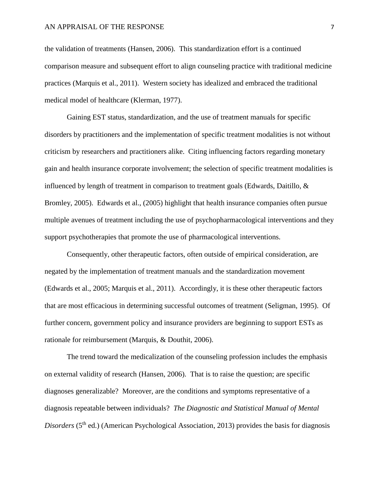## AN APPRAISAL OF THE RESPONSE 7 7

the validation of treatments (Hansen, 2006). This standardization effort is a continued comparison measure and subsequent effort to align counseling practice with traditional medicine practices (Marquis et al., 2011). Western society has idealized and embraced the traditional medical model of healthcare (Klerman, 1977).

Gaining EST status, standardization, and the use of treatment manuals for specific disorders by practitioners and the implementation of specific treatment modalities is not without criticism by researchers and practitioners alike. Citing influencing factors regarding monetary gain and health insurance corporate involvement; the selection of specific treatment modalities is influenced by length of treatment in comparison to treatment goals (Edwards, Daitillo, & Bromley, 2005). Edwards et al., (2005) highlight that health insurance companies often pursue multiple avenues of treatment including the use of psychopharmacological interventions and they support psychotherapies that promote the use of pharmacological interventions.

Consequently, other therapeutic factors, often outside of empirical consideration, are negated by the implementation of treatment manuals and the standardization movement (Edwards et al., 2005; Marquis et al., 2011). Accordingly, it is these other therapeutic factors that are most efficacious in determining successful outcomes of treatment (Seligman, 1995). Of further concern, government policy and insurance providers are beginning to support ESTs as rationale for reimbursement (Marquis, & Douthit, 2006).

The trend toward the medicalization of the counseling profession includes the emphasis on external validity of research (Hansen, 2006). That is to raise the question; are specific diagnoses generalizable? Moreover, are the conditions and symptoms representative of a diagnosis repeatable between individuals? *The Diagnostic and Statistical Manual of Mental Disorders* (5<sup>th</sup> ed.) (American Psychological Association, 2013) provides the basis for diagnosis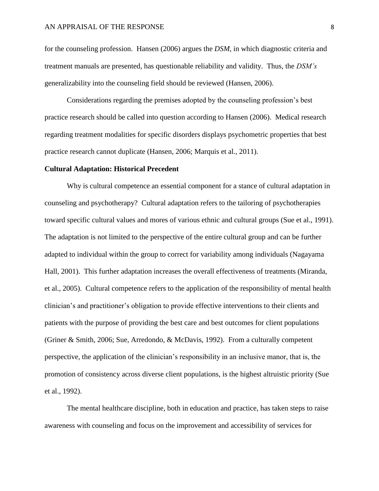## AN APPRAISAL OF THE RESPONSE 8

for the counseling profession. Hansen (2006) argues the *DSM,* in which diagnostic criteria and treatment manuals are presented, has questionable reliability and validity. Thus, the *DSM's*  generalizability into the counseling field should be reviewed (Hansen, 2006).

Considerations regarding the premises adopted by the counseling profession's best practice research should be called into question according to Hansen (2006). Medical research regarding treatment modalities for specific disorders displays psychometric properties that best practice research cannot duplicate (Hansen, 2006; Marquis et al., 2011).

## **Cultural Adaptation: Historical Precedent**

Why is cultural competence an essential component for a stance of cultural adaptation in counseling and psychotherapy? Cultural adaptation refers to the tailoring of psychotherapies toward specific cultural values and mores of various ethnic and cultural groups (Sue et al., 1991). The adaptation is not limited to the perspective of the entire cultural group and can be further adapted to individual within the group to correct for variability among individuals (Nagayama Hall, 2001). This further adaptation increases the overall effectiveness of treatments (Miranda, et al., 2005). Cultural competence refers to the application of the responsibility of mental health clinician's and practitioner's obligation to provide effective interventions to their clients and patients with the purpose of providing the best care and best outcomes for client populations (Griner & Smith, 2006; Sue, Arredondo, & McDavis, 1992). From a culturally competent perspective, the application of the clinician's responsibility in an inclusive manor, that is, the promotion of consistency across diverse client populations, is the highest altruistic priority (Sue et al., 1992).

The mental healthcare discipline, both in education and practice, has taken steps to raise awareness with counseling and focus on the improvement and accessibility of services for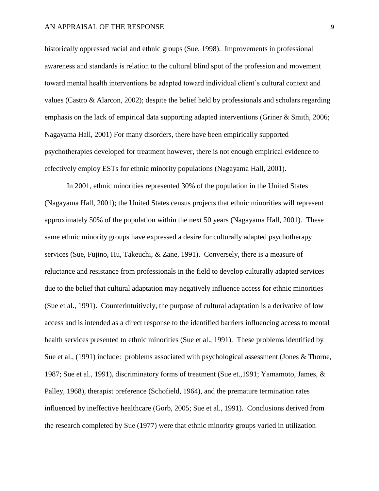historically oppressed racial and ethnic groups (Sue, 1998). Improvements in professional awareness and standards is relation to the cultural blind spot of the profession and movement toward mental health interventions be adapted toward individual client's cultural context and values (Castro & Alarcon, 2002); despite the belief held by professionals and scholars regarding emphasis on the lack of empirical data supporting adapted interventions (Griner & Smith, 2006; Nagayama Hall, 2001) For many disorders, there have been empirically supported psychotherapies developed for treatment however, there is not enough empirical evidence to effectively employ ESTs for ethnic minority populations (Nagayama Hall, 2001).

In 2001, ethnic minorities represented 30% of the population in the United States (Nagayama Hall, 2001); the United States census projects that ethnic minorities will represent approximately 50% of the population within the next 50 years (Nagayama Hall, 2001). These same ethnic minority groups have expressed a desire for culturally adapted psychotherapy services (Sue, Fujino, Hu, Takeuchi, & Zane, 1991). Conversely, there is a measure of reluctance and resistance from professionals in the field to develop culturally adapted services due to the belief that cultural adaptation may negatively influence access for ethnic minorities (Sue et al., 1991). Counterintuitively, the purpose of cultural adaptation is a derivative of low access and is intended as a direct response to the identified barriers influencing access to mental health services presented to ethnic minorities (Sue et al., 1991). These problems identified by Sue et al., (1991) include: problems associated with psychological assessment (Jones & Thorne, 1987; Sue et al., 1991), discriminatory forms of treatment (Sue et.,1991; Yamamoto, James, & Palley, 1968), therapist preference (Schofield, 1964), and the premature termination rates influenced by ineffective healthcare (Gorb, 2005; Sue et al., 1991). Conclusions derived from the research completed by Sue (1977) were that ethnic minority groups varied in utilization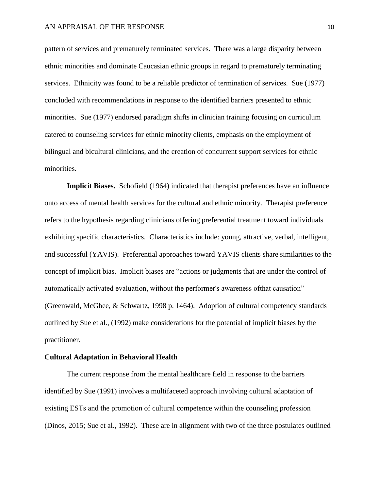pattern of services and prematurely terminated services. There was a large disparity between ethnic minorities and dominate Caucasian ethnic groups in regard to prematurely terminating services. Ethnicity was found to be a reliable predictor of termination of services. Sue (1977) concluded with recommendations in response to the identified barriers presented to ethnic minorities. Sue (1977) endorsed paradigm shifts in clinician training focusing on curriculum catered to counseling services for ethnic minority clients, emphasis on the employment of bilingual and bicultural clinicians, and the creation of concurrent support services for ethnic minorities.

**Implicit Biases.** Schofield (1964) indicated that therapist preferences have an influence onto access of mental health services for the cultural and ethnic minority. Therapist preference refers to the hypothesis regarding clinicians offering preferential treatment toward individuals exhibiting specific characteristics. Characteristics include: young, attractive, verbal, intelligent, and successful (YAVIS). Preferential approaches toward YAVIS clients share similarities to the concept of implicit bias. Implicit biases are "actions or judgments that are under the control of automatically activated evaluation, without the performer's awareness ofthat causation" (Greenwald, McGhee, & Schwartz, 1998 p. 1464). Adoption of cultural competency standards outlined by Sue et al., (1992) make considerations for the potential of implicit biases by the practitioner.

## **Cultural Adaptation in Behavioral Health**

The current response from the mental healthcare field in response to the barriers identified by Sue (1991) involves a multifaceted approach involving cultural adaptation of existing ESTs and the promotion of cultural competence within the counseling profession (Dinos, 2015; Sue et al., 1992). These are in alignment with two of the three postulates outlined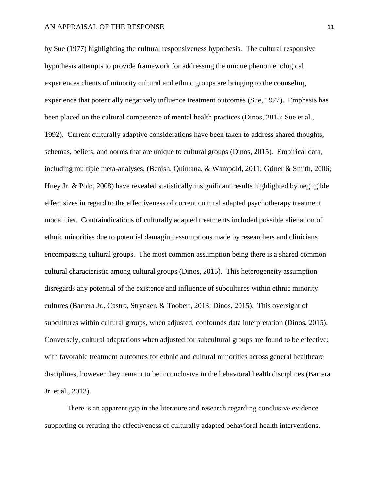## AN APPRAISAL OF THE RESPONSE 11 and 11

by Sue (1977) highlighting the cultural responsiveness hypothesis. The cultural responsive hypothesis attempts to provide framework for addressing the unique phenomenological experiences clients of minority cultural and ethnic groups are bringing to the counseling experience that potentially negatively influence treatment outcomes (Sue, 1977). Emphasis has been placed on the cultural competence of mental health practices (Dinos, 2015; Sue et al., 1992). Current culturally adaptive considerations have been taken to address shared thoughts, schemas, beliefs, and norms that are unique to cultural groups (Dinos, 2015). Empirical data, including multiple meta-analyses, (Benish, Quintana, & Wampold, 2011; Griner & Smith, 2006; Huey Jr. & Polo, 2008) have revealed statistically insignificant results highlighted by negligible effect sizes in regard to the effectiveness of current cultural adapted psychotherapy treatment modalities. Contraindications of culturally adapted treatments included possible alienation of ethnic minorities due to potential damaging assumptions made by researchers and clinicians encompassing cultural groups. The most common assumption being there is a shared common cultural characteristic among cultural groups (Dinos, 2015). This heterogeneity assumption disregards any potential of the existence and influence of subcultures within ethnic minority cultures (Barrera Jr., Castro, Strycker, & Toobert, 2013; Dinos, 2015). This oversight of subcultures within cultural groups, when adjusted, confounds data interpretation (Dinos, 2015). Conversely, cultural adaptations when adjusted for subcultural groups are found to be effective; with favorable treatment outcomes for ethnic and cultural minorities across general healthcare disciplines, however they remain to be inconclusive in the behavioral health disciplines (Barrera Jr. et al., 2013).

There is an apparent gap in the literature and research regarding conclusive evidence supporting or refuting the effectiveness of culturally adapted behavioral health interventions.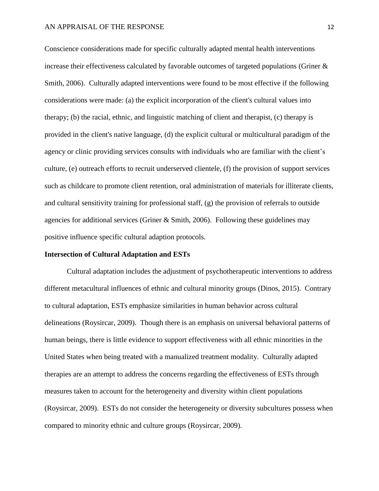Conscience considerations made for specific culturally adapted mental health interventions increase their effectiveness calculated by favorable outcomes of targeted populations (Griner & Smith, 2006). Culturally adapted interventions were found to be most effective if the following considerations were made: (a) the explicit incorporation of the client's cultural values into therapy; (b) the racial, ethnic, and linguistic matching of client and therapist, (c) therapy is provided in the client's native language, (d) the explicit cultural or multicultural paradigm of the agency or clinic providing services consults with individuals who are familiar with the client's culture, (e) outreach efforts to recruit underserved clientele, (f) the provision of support services such as childcare to promote client retention, oral administration of materials for illiterate clients, and cultural sensitivity training for professional staff, (g) the provision of referrals to outside agencies for additional services (Griner & Smith, 2006). Following these guidelines may positive influence specific cultural adaption protocols.

## **Intersection of Cultural Adaptation and ESTs**

Cultural adaptation includes the adjustment of psychotherapeutic interventions to address different metacultural influences of ethnic and cultural minority groups (Dinos, 2015). Contrary to cultural adaptation, ESTs emphasize similarities in human behavior across cultural delineations (Roysircar, 2009). Though there is an emphasis on universal behavioral patterns of human beings, there is little evidence to support effectiveness with all ethnic minorities in the United States when being treated with a manualized treatment modality. Culturally adapted therapies are an attempt to address the concerns regarding the effectiveness of ESTs through measures taken to account for the heterogeneity and diversity within client populations (Roysircar, 2009). ESTs do not consider the heterogeneity or diversity subcultures possess when compared to minority ethnic and culture groups (Roysircar, 2009).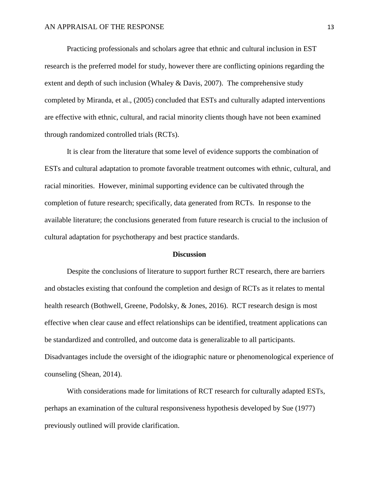Practicing professionals and scholars agree that ethnic and cultural inclusion in EST research is the preferred model for study, however there are conflicting opinions regarding the extent and depth of such inclusion (Whaley & Davis, 2007). The comprehensive study completed by Miranda, et al., (2005) concluded that ESTs and culturally adapted interventions are effective with ethnic, cultural, and racial minority clients though have not been examined through randomized controlled trials (RCTs).

It is clear from the literature that some level of evidence supports the combination of ESTs and cultural adaptation to promote favorable treatment outcomes with ethnic, cultural, and racial minorities. However, minimal supporting evidence can be cultivated through the completion of future research; specifically, data generated from RCTs. In response to the available literature; the conclusions generated from future research is crucial to the inclusion of cultural adaptation for psychotherapy and best practice standards.

#### **Discussion**

Despite the conclusions of literature to support further RCT research, there are barriers and obstacles existing that confound the completion and design of RCTs as it relates to mental health research (Bothwell, Greene, Podolsky, & Jones, 2016). RCT research design is most effective when clear cause and effect relationships can be identified, treatment applications can be standardized and controlled, and outcome data is generalizable to all participants. Disadvantages include the oversight of the idiographic nature or phenomenological experience of counseling (Shean, 2014).

With considerations made for limitations of RCT research for culturally adapted ESTs, perhaps an examination of the cultural responsiveness hypothesis developed by Sue (1977) previously outlined will provide clarification.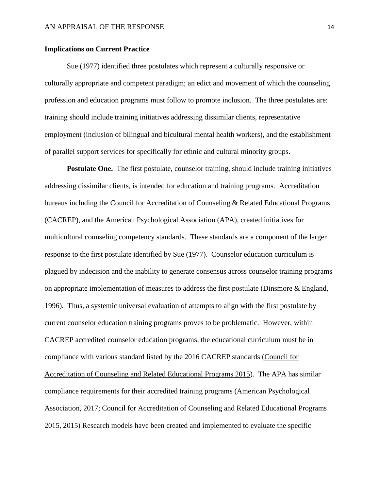## **Implications on Current Practice**

Sue (1977) identified three postulates which represent a culturally responsive or culturally appropriate and competent paradigm; an edict and movement of which the counseling profession and education programs must follow to promote inclusion. The three postulates are: training should include training initiatives addressing dissimilar clients, representative employment (inclusion of bilingual and bicultural mental health workers), and the establishment of parallel support services for specifically for ethnic and cultural minority groups.

**Postulate One.** The first postulate, counselor training, should include training initiatives addressing dissimilar clients, is intended for education and training programs. Accreditation bureaus including the Council for Accreditation of Counseling & Related Educational Programs (CACREP), and the American Psychological Association (APA), created initiatives for multicultural counseling competency standards. These standards are a component of the larger response to the first postulate identified by Sue (1977). Counselor education curriculum is plagued by indecision and the inability to generate consensus across counselor training programs on appropriate implementation of measures to address the first postulate (Dinsmore & England, 1996). Thus, a systemic universal evaluation of attempts to align with the first postulate by current counselor education training programs proves to be problematic. However, within CACREP accredited counselor education programs, the educational curriculum must be in compliance with various standard listed by the 2016 CACREP standards (Council for Accreditation of Counseling and Related Educational Programs 2015). The APA has similar compliance requirements for their accredited training programs (American Psychological Association, 2017; Council for Accreditation of Counseling and Related Educational Programs 2015, 2015) Research models have been created and implemented to evaluate the specific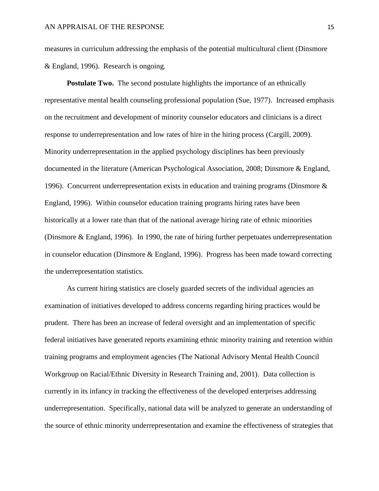measures in curriculum addressing the emphasis of the potential multicultural client (Dinsmore & England, 1996). Research is ongoing.

**Postulate Two.** The second postulate highlights the importance of an ethnically representative mental health counseling professional population (Sue, 1977). Increased emphasis on the recruitment and development of minority counselor educators and clinicians is a direct response to underrepresentation and low rates of hire in the hiring process (Cargill, 2009). Minority underrepresentation in the applied psychology disciplines has been previously documented in the literature (American Psychological Association, 2008; Dinsmore & England, 1996). Concurrent underrepresentation exists in education and training programs (Dinsmore & England, 1996). Within counselor education training programs hiring rates have been historically at a lower rate than that of the national average hiring rate of ethnic minorities (Dinsmore & England, 1996). In 1990, the rate of hiring further perpetuates underrepresentation in counselor education (Dinsmore & England, 1996). Progress has been made toward correcting the underrepresentation statistics.

As current hiring statistics are closely guarded secrets of the individual agencies an examination of initiatives developed to address concerns regarding hiring practices would be prudent. There has been an increase of federal oversight and an implementation of specific federal initiatives have generated reports examining ethnic minority training and retention within training programs and employment agencies (The National Advisory Mental Health Council Workgroup on Racial/Ethnic Diversity in Research Training and, 2001). Data collection is currently in its infancy in tracking the effectiveness of the developed enterprises addressing underrepresentation. Specifically, national data will be analyzed to generate an understanding of the source of ethnic minority underrepresentation and examine the effectiveness of strategies that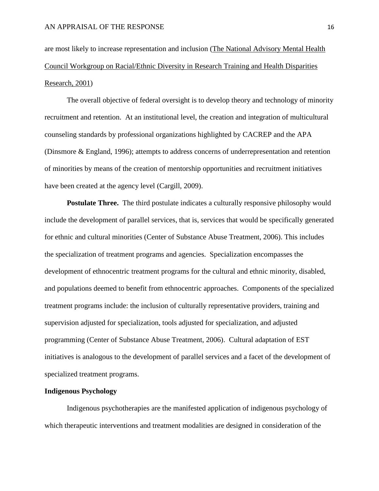are most likely to increase representation and inclusion (The National Advisory Mental Health Council Workgroup on Racial/Ethnic Diversity in Research Training and Health Disparities Research, 2001)

The overall objective of federal oversight is to develop theory and technology of minority recruitment and retention. At an institutional level, the creation and integration of multicultural counseling standards by professional organizations highlighted by CACREP and the APA (Dinsmore & England, 1996); attempts to address concerns of underrepresentation and retention of minorities by means of the creation of mentorship opportunities and recruitment initiatives have been created at the agency level (Cargill, 2009).

Postulate Three. The third postulate indicates a culturally responsive philosophy would include the development of parallel services, that is, services that would be specifically generated for ethnic and cultural minorities (Center of Substance Abuse Treatment, 2006). This includes the specialization of treatment programs and agencies. Specialization encompasses the development of ethnocentric treatment programs for the cultural and ethnic minority, disabled, and populations deemed to benefit from ethnocentric approaches. Components of the specialized treatment programs include: the inclusion of culturally representative providers, training and supervision adjusted for specialization, tools adjusted for specialization, and adjusted programming (Center of Substance Abuse Treatment, 2006). Cultural adaptation of EST initiatives is analogous to the development of parallel services and a facet of the development of specialized treatment programs.

## **Indigenous Psychology**

Indigenous psychotherapies are the manifested application of indigenous psychology of which therapeutic interventions and treatment modalities are designed in consideration of the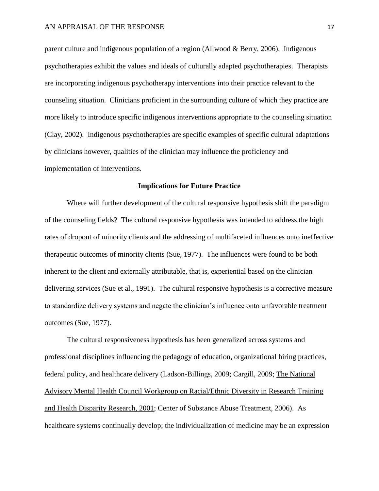parent culture and indigenous population of a region (Allwood & Berry, 2006). Indigenous psychotherapies exhibit the values and ideals of culturally adapted psychotherapies. Therapists are incorporating indigenous psychotherapy interventions into their practice relevant to the counseling situation. Clinicians proficient in the surrounding culture of which they practice are more likely to introduce specific indigenous interventions appropriate to the counseling situation (Clay, 2002). Indigenous psychotherapies are specific examples of specific cultural adaptations by clinicians however, qualities of the clinician may influence the proficiency and implementation of interventions.

## **Implications for Future Practice**

Where will further development of the cultural responsive hypothesis shift the paradigm of the counseling fields? The cultural responsive hypothesis was intended to address the high rates of dropout of minority clients and the addressing of multifaceted influences onto ineffective therapeutic outcomes of minority clients (Sue, 1977). The influences were found to be both inherent to the client and externally attributable, that is, experiential based on the clinician delivering services (Sue et al., 1991). The cultural responsive hypothesis is a corrective measure to standardize delivery systems and negate the clinician's influence onto unfavorable treatment outcomes (Sue, 1977).

The cultural responsiveness hypothesis has been generalized across systems and professional disciplines influencing the pedagogy of education, organizational hiring practices, federal policy, and healthcare delivery (Ladson-Billings, 2009; Cargill, 2009; The National Advisory Mental Health Council Workgroup on Racial/Ethnic Diversity in Research Training and Health Disparity Research, 2001; Center of Substance Abuse Treatment, 2006). As healthcare systems continually develop; the individualization of medicine may be an expression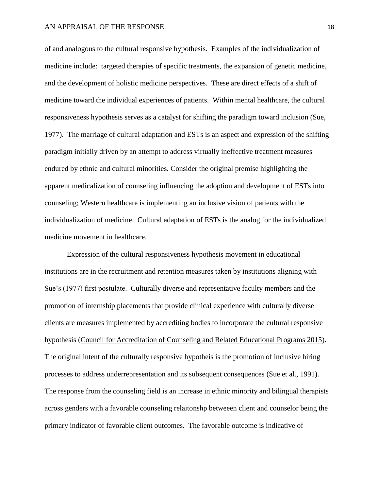## AN APPRAISAL OF THE RESPONSE 18

of and analogous to the cultural responsive hypothesis. Examples of the individualization of medicine include: targeted therapies of specific treatments, the expansion of genetic medicine, and the development of holistic medicine perspectives. These are direct effects of a shift of medicine toward the individual experiences of patients. Within mental healthcare, the cultural responsiveness hypothesis serves as a catalyst for shifting the paradigm toward inclusion (Sue, 1977). The marriage of cultural adaptation and ESTs is an aspect and expression of the shifting paradigm initially driven by an attempt to address virtually ineffective treatment measures endured by ethnic and cultural minorities. Consider the original premise highlighting the apparent medicalization of counseling influencing the adoption and development of ESTs into counseling; Western healthcare is implementing an inclusive vision of patients with the individualization of medicine. Cultural adaptation of ESTs is the analog for the individualized medicine movement in healthcare.

Expression of the cultural responsiveness hypothesis movement in educational institutions are in the recruitment and retention measures taken by institutions aligning with Sue's (1977) first postulate. Culturally diverse and representative faculty members and the promotion of internship placements that provide clinical experience with culturally diverse clients are measures implemented by accrediting bodies to incorporate the cultural responsive hypothesis (Council for Accreditation of Counseling and Related Educational Programs 2015). The original intent of the culturally responsive hypotheis is the promotion of inclusive hiring processes to address underrepresentation and its subsequent consequences (Sue et al., 1991). The response from the counseling field is an increase in ethnic minority and bilingual therapists across genders with a favorable counseling relaitonshp betweeen client and counselor being the primary indicator of favorable client outcomes. The favorable outcome is indicative of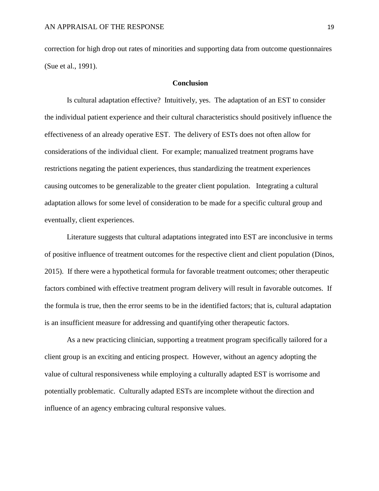correction for high drop out rates of minorities and supporting data from outcome questionnaires (Sue et al., 1991).

## **Conclusion**

Is cultural adaptation effective? Intuitively, yes. The adaptation of an EST to consider the individual patient experience and their cultural characteristics should positively influence the effectiveness of an already operative EST. The delivery of ESTs does not often allow for considerations of the individual client. For example; manualized treatment programs have restrictions negating the patient experiences, thus standardizing the treatment experiences causing outcomes to be generalizable to the greater client population. Integrating a cultural adaptation allows for some level of consideration to be made for a specific cultural group and eventually, client experiences.

Literature suggests that cultural adaptations integrated into EST are inconclusive in terms of positive influence of treatment outcomes for the respective client and client population (Dinos, 2015). If there were a hypothetical formula for favorable treatment outcomes; other therapeutic factors combined with effective treatment program delivery will result in favorable outcomes. If the formula is true, then the error seems to be in the identified factors; that is, cultural adaptation is an insufficient measure for addressing and quantifying other therapeutic factors.

As a new practicing clinician, supporting a treatment program specifically tailored for a client group is an exciting and enticing prospect. However, without an agency adopting the value of cultural responsiveness while employing a culturally adapted EST is worrisome and potentially problematic. Culturally adapted ESTs are incomplete without the direction and influence of an agency embracing cultural responsive values.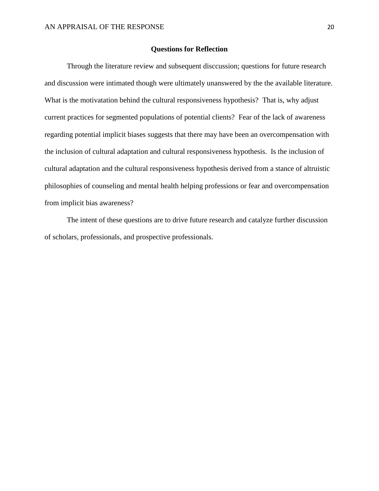## **Questions for Reflection**

Through the literature review and subsequent disccussion; questions for future research and discussion were intimated though were ultimately unanswered by the the available literature. What is the motivatation behind the cultural responsiveness hypothesis? That is, why adjust current practices for segmented populations of potential clients? Fear of the lack of awareness regarding potential implicit biases suggests that there may have been an overcompensation with the inclusion of cultural adaptation and cultural responsiveness hypothesis. Is the inclusion of cultural adaptation and the cultural responsiveness hypothesis derived from a stance of altruistic philosophies of counseling and mental health helping professions or fear and overcompensation from implicit bias awareness?

The intent of these questions are to drive future research and catalyze further discussion of scholars, professionals, and prospective professionals.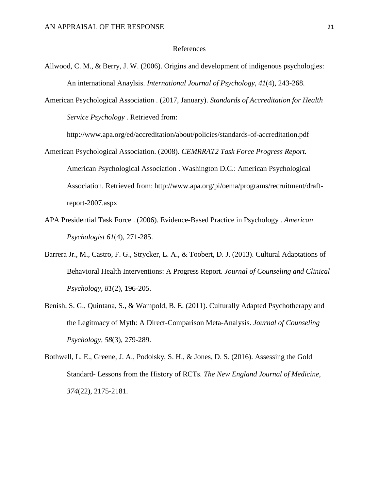#### References

- Allwood, C. M., & Berry, J. W. (2006). Origins and development of indigenous psychologies: An international Anaylsis. *International Journal of Psychology, 41*(4), 243-268.
- American Psychological Association . (2017, January). *Standards of Accreditation for Health Service Psychology .* Retrieved from:

http://www.apa.org/ed/accreditation/about/policies/standards-of-accreditation.pdf

- American Psychological Association. (2008). *CEMRRAT2 Task Force Progress Report.* American Psychological Association . Washington D.C.: American Psychological Association. Retrieved from: http://www.apa.org/pi/oema/programs/recruitment/draftreport-2007.aspx
- APA Presidential Task Force . (2006). Evidence-Based Practice in Psychology . *American Psychologist 61*(4), 271-285.
- Barrera Jr., M., Castro, F. G., Strycker, L. A., & Toobert, D. J. (2013). Cultural Adaptations of Behavioral Health Interventions: A Progress Report. *Journal of Counseling and Clinical Psychology, 81*(2), 196-205.
- Benish, S. G., Quintana, S., & Wampold, B. E. (2011). Culturally Adapted Psychotherapy and the Legitmacy of Myth: A Direct-Comparison Meta-Analysis. *Journal of Counseling Psychology, 58*(3), 279-289.
- Bothwell, L. E., Greene, J. A., Podolsky, S. H., & Jones, D. S. (2016). Assessing the Gold Standard- Lessons from the History of RCTs. *The New England Journal of Medicine, 374*(22), 2175-2181.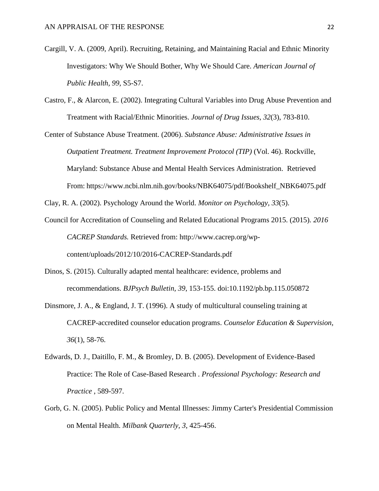- Cargill, V. A. (2009, April). Recruiting, Retaining, and Maintaining Racial and Ethnic Minority Investigators: Why We Should Bother, Why We Should Care. *American Journal of Public Health, 99*, S5-S7.
- Castro, F., & Alarcon, E. (2002). Integrating Cultural Variables into Drug Abuse Prevention and Treatment with Racial/Ethnic Minorities. *Journal of Drug Issues*, *32*(3), 783-810.
- Center of Substance Abuse Treatment. (2006). *Substance Abuse: Administrative Issues in Outpatient Treatment. Treatment Improvement Protocol (TIP)* (Vol. 46). Rockville, Maryland: Substance Abuse and Mental Health Services Administration. Retrieved From: https://www.ncbi.nlm.nih.gov/books/NBK64075/pdf/Bookshelf\_NBK64075.pdf

Clay, R. A. (2002). Psychology Around the World. *Monitor on Psychology, 33*(5).

- Council for Accreditation of Counseling and Related Educational Programs 2015. (2015). *2016 CACREP Standards.* Retrieved from: http://www.cacrep.org/wpcontent/uploads/2012/10/2016-CACREP-Standards.pdf
- Dinos, S. (2015). Culturally adapted mental healthcare: evidence, problems and recommendations. *BJPsych Bulletin, 39*, 153-155. doi:10.1192/pb.bp.115.050872
- Dinsmore, J. A., & England, J. T. (1996). A study of multicultural counseling training at CACREP-accredited counselor education programs. *Counselor Education & Supervision, 36*(1), 58-76.
- Edwards, D. J., Daitillo, F. M., & Bromley, D. B. (2005). Development of Evidence-Based Practice: The Role of Case-Based Research . *Professional Psychology: Research and Practice* , 589-597.
- Gorb, G. N. (2005). Public Policy and Mental Illnesses: Jimmy Carter's Presidential Commission on Mental Health. *Milbank Quarterly, 3*, 425-456.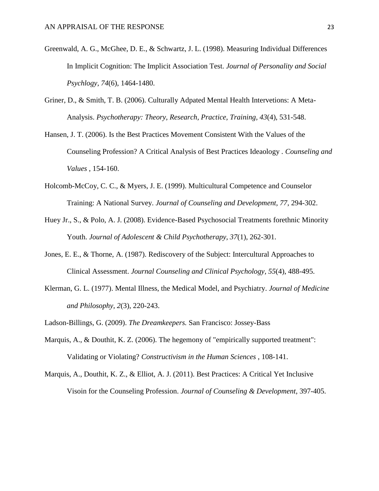- Greenwald, A. G., McGhee, D. E., & Schwartz, J. L. (1998). Measuring Individual Differences In Implicit Cognition: The Implicit Association Test. *Journal of Personality and Social Psychlogy, 74*(6), 1464-1480.
- Griner, D., & Smith, T. B. (2006). Culturally Adpated Mental Health Intervetions: A Meta-Analysis. *Psychotherapy: Theory, Research, Practice, Training, 43*(4), 531-548.
- Hansen, J. T. (2006). Is the Best Practices Movement Consistent With the Values of the Counseling Profession? A Critical Analysis of Best Practices Ideaology . *Counseling and Values* , 154-160.
- Holcomb-McCoy, C. C., & Myers, J. E. (1999). Multicultural Competence and Counselor Training: A National Survey. *Journal of Counseling and Development, 77*, 294-302.
- Huey Jr., S., & Polo, A. J. (2008). Evidence-Based Psychosocial Treatments forethnic Minority Youth. *Journal of Adolescent & Child Psychotherapy, 37*(1), 262-301.
- Jones, E. E., & Thorne, A. (1987). Rediscovery of the Subject: Intercultural Approaches to Clinical Assessment. *Journal Counseling and Clinical Psychology, 55*(4), 488-495.
- Klerman, G. L. (1977). Mental Illness, the Medical Model, and Psychiatry. *Journal of Medicine and Philosophy, 2*(3), 220-243.
- Ladson-Billings, G. (2009). *The Dreamkeepers.* San Francisco: Jossey-Bass
- Marquis, A., & Douthit, K. Z. (2006). The hegemony of "empirically supported treatment": Validating or Violating? *Constructivism in the Human Sciences* , 108-141.
- Marquis, A., Douthit, K. Z., & Elliot, A. J. (2011). Best Practices: A Critical Yet Inclusive Visoin for the Counseling Profession. *Journal of Counseling & Development*, 397-405.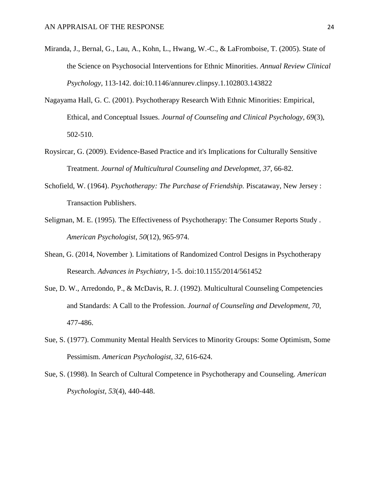- Miranda, J., Bernal, G., Lau, A., Kohn, L., Hwang, W.-C., & LaFromboise, T. (2005). State of the Science on Psychosocial Interventions for Ethnic Minorities. *Annual Review Clinical Psychology*, 113-142. doi:10.1146/annurev.clinpsy.1.102803.143822
- Nagayama Hall, G. C. (2001). Psychotherapy Research With Ethnic Minorities: Empirical, Ethical, and Conceptual Issues. *Journal of Counseling and Clinical Psychology, 69*(3), 502-510.
- Roysircar, G. (2009). Evidence-Based Practice and it's Implications for Culturally Sensitive Treatment. *Journal of Multicultural Counseling and Developmet, 37*, 66-82.
- Schofield, W. (1964). *Psychotherapy: The Purchase of Friendship.* Piscataway, New Jersey : Transaction Publishers.
- Seligman, M. E. (1995). The Effectiveness of Psychotherapy: The Consumer Reports Study . *American Psychologist*, *50*(12), 965-974.
- Shean, G. (2014, November ). Limitations of Randomized Control Designs in Psychotherapy Research. *Advances in Psychiatry*, 1-5. doi:10.1155/2014/561452
- Sue, D. W., Arredondo, P., & McDavis, R. J. (1992). Multicultural Counseling Competencies and Standards: A Call to the Profession. *Journal of Counseling and Development, 70*, 477-486.
- Sue, S. (1977). Community Mental Health Services to Minority Groups: Some Optimism, Some Pessimism. *American Psychologist, 32*, 616-624.
- Sue, S. (1998). In Search of Cultural Competence in Psychotherapy and Counseling. *American Psychologist, 53*(4), 440-448.